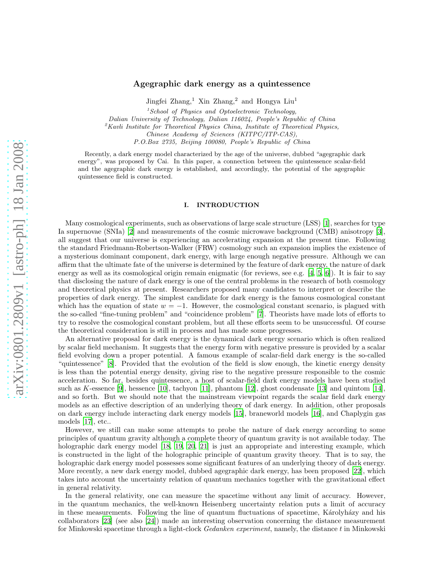# arXiv:0801.2809v1 [astro-ph] 18 Jan 2008 [arXiv:0801.2809v1 \[astro-ph\] 18 Jan 2008](http://arxiv.org/abs/0801.2809v1)

# Agegraphic dark energy as a quintessence

Jingfei Zhang,<sup>1</sup> Xin Zhang,<sup>2</sup> and Hongya Liu<sup>1</sup>

 $1$ School of Physics and Optoelectronic Technology,

Dalian University of Technology, Dalian 116024, People's Republic of China

 ${}^{2}$ Kavli Institute for Theoretical Physics China, Institute of Theoretical Physics,

Chinese Academy of Sciences (KITPC/ITP-CAS),

P.O.Box 2735, Beijing 100080, People's Republic of China

Recently, a dark energy model characterized by the age of the universe, dubbed "agegraphic dark energy", was proposed by Cai. In this paper, a connection between the quintessence scalar-field and the agegraphic dark energy is established, and accordingly, the potential of the agegraphic quintessence field is constructed.

# I. INTRODUCTION

Many cosmological experiments, such as observations of large scale structure (LSS) [\[1\]](#page-6-0), searches for type Ia supernovae (SNIa) [\[2](#page-6-1)] and measurements of the cosmic microwave background (CMB) anisotropy [\[3\]](#page-6-2), all suggest that our universe is experiencing an accelerating expansion at the present time. Following the standard Friedmann-Robertson-Walker (FRW) cosmology such an expansion implies the existence of a mysterious dominant component, dark energy, with large enough negative pressure. Although we can affirm that the ultimate fate of the universe is determined by the feature of dark energy, the nature of dark energy as well as its cosmological origin remain enigmatic (for reviews, see e.g. [\[4](#page-6-3), [5,](#page-6-4) [6\]](#page-6-5)). It is fair to say that disclosing the nature of dark energy is one of the central problems in the research of both cosmology and theoretical physics at present. Researchers proposed many candidates to interpret or describe the properties of dark energy. The simplest candidate for dark energy is the famous cosmological constant which has the equation of state  $w = -1$ . However, the cosmological constant scenario, is plagued with the so-called "fine-tuning problem" and "coincidence problem" [\[7](#page-6-6)]. Theorists have made lots of efforts to try to resolve the cosmological constant problem, but all these efforts seem to be unsuccessful. Of course the theoretical consideration is still in process and has made some progresses.

An alternative proposal for dark energy is the dynamical dark energy scenario which is often realized by scalar field mechanism. It suggests that the energy form with negative pressure is provided by a scalar field evolving down a proper potential. A famous example of scalar-field dark energy is the so-called "quintessence" [\[8](#page-6-7)]. Provided that the evolution of the field is slow enough, the kinetic energy density is less than the potential energy density, giving rise to the negative pressure responsible to the cosmic acceleration. So far, besides quintessence, a host of scalar-field dark energy models have been studied such as K-essence [\[9\]](#page-6-8), hessence [\[10\]](#page-7-0), tachyon [\[11](#page-7-1)], phantom [\[12\]](#page-7-2), ghost condensate [\[13](#page-7-3)] and quintom [\[14\]](#page-7-4), and so forth. But we should note that the mainstream viewpoint regards the scalar field dark energy models as an effective description of an underlying theory of dark energy. In addition, other proposals on dark energy include interacting dark energy models [\[15\]](#page-7-5), braneworld models [\[16\]](#page-7-6), and Chaplygin gas models [\[17\]](#page-7-7), etc..

However, we still can make some attempts to probe the nature of dark energy according to some principles of quantum gravity although a complete theory of quantum gravity is not available today. The holographic dark energy model [\[18](#page-7-8), [19,](#page-7-9) [20,](#page-7-10) [21](#page-7-11)] is just an appropriate and interesting example, which is constructed in the light of the holographic principle of quantum gravity theory. That is to say, the holographic dark energy model possesses some significant features of an underlying theory of dark energy. More recently, a new dark energy model, dubbed agegraphic dark energy, has been proposed [\[22](#page-7-12)], which takes into account the uncertainty relation of quantum mechanics together with the gravitational effect in general relativity.

In the general relativity, one can measure the spacetime without any limit of accuracy. However, in the quantum mechanics, the well-known Heisenberg uncertainty relation puts a limit of accuracy in these measurements. Following the line of quantum fluctuations of spacetime, Károlyházy and his collaborators [\[23](#page-7-13)] (see also [\[24\]](#page-7-14)) made an interesting observation concerning the distance measurement for Minkowski spacetime through a light-clock Gedanken experiment, namely, the distance t in Minkowski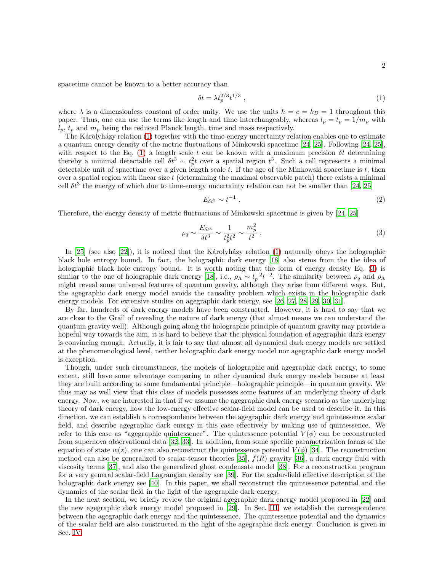spacetime cannot be known to a better accuracy than

<span id="page-1-0"></span>
$$
\delta t = \lambda t_p^{2/3} t^{1/3} \tag{1}
$$

where  $\lambda$  is a dimensionless constant of order unity. We use the units  $\hbar = c = k_B = 1$  throughout this paper. Thus, one can use the terms like length and time interchangeably, whereas  $l_p = t_p = 1/m_p$  with  $l_p$ ,  $t_p$  and  $m_p$  being the reduced Planck length, time and mass respectively.

The Karolyhazy relation [\(1\)](#page-1-0) together with the time-energy uncertainty relation enables one to estimate a quantum energy density of the metric fluctuations of Minkowski spacetime [\[24](#page-7-14), [25](#page-7-15)]. Following [\[24,](#page-7-14) [25\]](#page-7-15), with respect to the Eq. [\(1\)](#page-1-0) a length scale t can be known with a maximum precision  $\delta t$  determining thereby a minimal detectable cell  $\delta t^3 \sim t_p^2 t$  over a spatial region  $t^3$ . Such a cell represents a minimal detectable unit of spacetime over a given length scale  $t$ . If the age of the Minkowski spacetime is  $t$ , then over a spatial region with linear size  $t$  (determining the maximal observable patch) there exists a minimal cell  $\delta t^3$  the energy of which due to time-energy uncertainty relation can not be smaller than [\[24](#page-7-14), [25](#page-7-15)]

$$
E_{\delta t^3} \sim t^{-1} \tag{2}
$$

Therefore, the energy density of metric fluctuations of Minkowski spacetime is given by [\[24,](#page-7-14) [25](#page-7-15)]

<span id="page-1-1"></span>
$$
\rho_q \sim \frac{E_{\delta t^3}}{\delta t^3} \sim \frac{1}{t_p^2 t^2} \sim \frac{m_p^2}{t^2} \ . \tag{3}
$$

In  $[25]$  (see also  $[22]$ ), it is noticed that the Karolyhazy relation [\(1\)](#page-1-0) naturally obeys the holographic black hole entropy bound. In fact, the holographic dark energy [\[18\]](#page-7-8) also stems from the the idea of holographic black hole entropy bound. It is worth noting that the form of energy density Eq. [\(3\)](#page-1-1) is similar to the one of holographic dark energy [\[18](#page-7-8)], i.e.,  $\rho_{\Lambda} \sim l_p^{-2} l^{-2}$ . The similarity between  $\rho_q$  and  $\rho_{\Lambda}$ might reveal some universal features of quantum gravity, although they arise from different ways. But, the agegraphic dark energy model avoids the causality problem which exists in the holographic dark energy models. For extensive studies on agegraphic dark energy, see [\[26](#page-7-16), [27](#page-7-17), [28](#page-7-18), [29](#page-7-19), [30,](#page-7-20) [31\]](#page-7-21).

By far, hundreds of dark energy models have been constructed. However, it is hard to say that we are close to the Grail of revealing the nature of dark energy (that almost means we can understand the quantum gravity well). Although going along the holographic principle of quantum gravity may provide a hopeful way towards the aim, it is hard to believe that the physical foundation of agegraphic dark energy is convincing enough. Actually, it is fair to say that almost all dynamical dark energy models are settled at the phenomenological level, neither holographic dark energy model nor agegraphic dark energy model is exception.

Though, under such circumstances, the models of holographic and agegraphic dark energy, to some extent, still have some advantage comparing to other dynamical dark energy models because at least they are built according to some fundamental principle—holographic principle—in quantum gravity. We thus may as well view that this class of models possesses some features of an underlying theory of dark energy. Now, we are interested in that if we assume the agegraphic dark energy scenario as the underlying theory of dark energy, how the low-energy effective scalar-field model can be used to describe it. In this direction, we can establish a correspondence between the agegraphic dark energy and quintessence scalar field, and describe agegraphic dark energy in this case effectively by making use of quintessence. We refer to this case as "agegraphic quintessence". The quintessence potential  $V(\phi)$  can be reconstructed from supernova observational data [\[32,](#page-7-22) [33](#page-7-23)]. In addition, from some specific parametrization forms of the equation of state  $w(z)$ , one can also reconstruct the quintessence potential  $V(\phi)$  [\[34\]](#page-8-0). The reconstruction method can also be generalized to scalar-tensor theories [\[35](#page-8-1)],  $f(R)$  gravity [\[36](#page-8-2)], a dark energy fluid with viscosity terms [\[37\]](#page-8-3), and also the generalized ghost condensate model [\[38\]](#page-8-4). For a reconstruction program for a very general scalar-field Lagrangian density see [\[39\]](#page-8-5). For the scalar-field effective description of the holographic dark energy see [\[40\]](#page-8-6). In this paper, we shall reconstruct the quintessence potential and the dynamics of the scalar field in the light of the agegraphic dark energy.

In the next section, we briefly review the original agegraphic dark energy model proposed in [\[22\]](#page-7-12) and the new agegraphic dark energy model proposed in [\[29](#page-7-19)]. In Sec. [III,](#page-3-0) we establish the correspondence between the agegraphic dark energy and the quintessence. The quintessence potential and the dynamics of the scalar field are also constructed in the light of the agegraphic dark energy. Conclusion is given in Sec. [IV.](#page-5-0)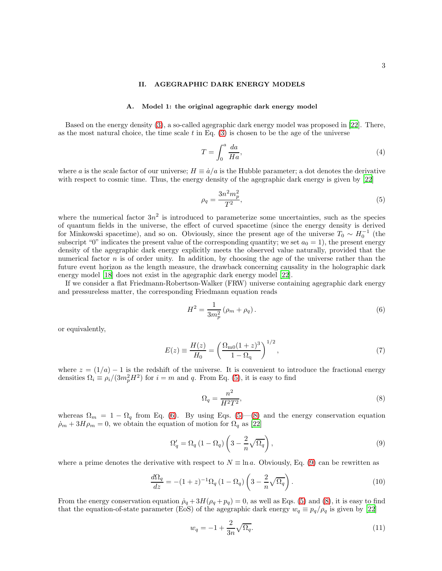# II. AGEGRAPHIC DARK ENERGY MODELS

# A. Model 1: the original agegraphic dark energy model

Based on the energy density [\(3\)](#page-1-1), a so-called agegraphic dark energy model was proposed in [\[22](#page-7-12)]. There, as the most natural choice, the time scale  $t$  in Eq.  $(3)$  is chosen to be the age of the universe

$$
T = \int_0^a \frac{da}{Ha},\tag{4}
$$

where a is the scale factor of our universe;  $H \equiv \dot{a}/a$  is the Hubble parameter; a dot denotes the derivative with respect to cosmic time. Thus, the energy density of the agegraphic dark energy is given by [\[22\]](#page-7-12)

<span id="page-2-0"></span>
$$
\rho_q = \frac{3n^2m_p^2}{T^2},\tag{5}
$$

where the numerical factor  $3n^2$  is introduced to parameterize some uncertainties, such as the species of quantum fields in the universe, the effect of curved spacetime (since the energy density is derived for Minkowski spacetime), and so on. Obviously, since the present age of the universe  $T_0 \sim H_0^{-1}$  (the subscript "0" indicates the present value of the corresponding quantity; we set  $a_0 = 1$ ), the present energy density of the agegraphic dark energy explicitly meets the observed value naturally, provided that the numerical factor  $n$  is of order unity. In addition, by choosing the age of the universe rather than the future event horizon as the length measure, the drawback concerning causality in the holographic dark energy model [\[18\]](#page-7-8) does not exist in the agegraphic dark energy model [\[22](#page-7-12)].

If we consider a flat Friedmann-Robertson-Walker (FRW) universe containing agegraphic dark energy and pressureless matter, the corresponding Friedmann equation reads

<span id="page-2-1"></span>
$$
H^{2} = \frac{1}{3m_{p}^{2}} \left( \rho_{m} + \rho_{q} \right). \tag{6}
$$

or equivalently,

<span id="page-2-4"></span>
$$
E(z) \equiv \frac{H(z)}{H_0} = \left(\frac{\Omega_{\rm m0}(1+z)^3}{1-\Omega_{\rm q}}\right)^{1/2},\tag{7}
$$

where  $z = (1/a) - 1$  is the redshift of the universe. It is convenient to introduce the fractional energy densities  $\Omega_i \equiv \rho_i/(3m_p^2 H^2)$  for  $i = m$  and q. From Eq. [\(5\)](#page-2-0), it is easy to find

<span id="page-2-2"></span>
$$
\Omega_q = \frac{n^2}{H^2 T^2},\tag{8}
$$

whereas  $\Omega_m = 1 - \Omega_q$  from Eq. [\(6\)](#page-2-1). By using Eqs. [\(5\)](#page-2-0)—[\(8\)](#page-2-2) and the energy conservation equation  $\dot{\rho}_m + 3H\rho_m = 0$ , we obtain the equation of motion for  $\Omega_q$  as [\[22](#page-7-12)]

<span id="page-2-3"></span>
$$
\Omega_q' = \Omega_q \left( 1 - \Omega_q \right) \left( 3 - \frac{2}{n} \sqrt{\Omega_q} \right),\tag{9}
$$

where a prime denotes the derivative with respect to  $N \equiv \ln a$ . Obviously, Eq. [\(9\)](#page-2-3) can be rewritten as

<span id="page-2-5"></span>
$$
\frac{d\Omega_q}{dz} = -(1+z)^{-1}\Omega_q (1-\Omega_q) \left(3 - \frac{2}{n}\sqrt{\Omega_q}\right). \tag{10}
$$

From the energy conservation equation  $\dot{\rho}_q + 3H(\rho_q + p_q) = 0$ , as well as Eqs. [\(5\)](#page-2-0) and [\(8\)](#page-2-2), it is easy to find that the equation-of-state parameter (EoS) of the agegraphic dark energy  $w_q \equiv p_q/\rho_q$  is given by [\[22\]](#page-7-12)

<span id="page-2-6"></span>
$$
w_q = -1 + \frac{2}{3n} \sqrt{\Omega_q}.\tag{11}
$$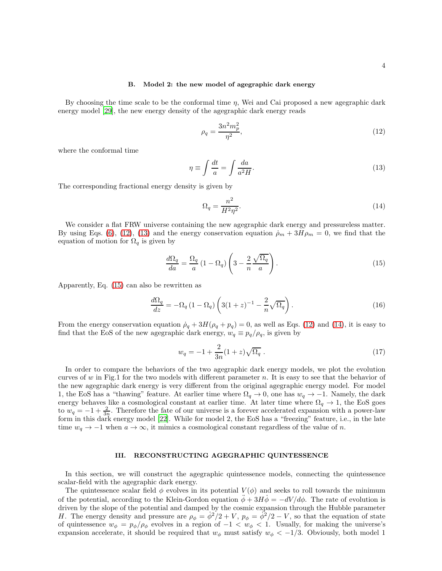### B. Model 2: the new model of agegraphic dark energy

By choosing the time scale to be the conformal time  $\eta$ , Wei and Cai proposed a new agegraphic dark energy model [\[29\]](#page-7-19), the new energy density of the agegraphic dark energy reads

<span id="page-3-1"></span>
$$
\rho_q = \frac{3n^2m_p^2}{\eta^2},\tag{12}
$$

where the conformal time

<span id="page-3-2"></span>
$$
\eta \equiv \int \frac{dt}{a} = \int \frac{da}{a^2 H}.\tag{13}
$$

The corresponding fractional energy density is given by

<span id="page-3-4"></span>
$$
\Omega_q = \frac{n^2}{H^2 \eta^2}.\tag{14}
$$

We consider a flat FRW universe containing the new agegraphic dark energy and pressureless matter. By using Eqs. [\(6\)](#page-2-1), [\(12\)](#page-3-1), [\(13\)](#page-3-2) and the energy conservation equation  $\dot{\rho}_m + 3H\rho_m = 0$ , we find that the equation of motion for  $\Omega_q$  is given by

<span id="page-3-3"></span>
$$
\frac{d\Omega_q}{da} = \frac{\Omega_q}{a} \left( 1 - \Omega_q \right) \left( 3 - \frac{2}{n} \frac{\sqrt{\Omega_q}}{a} \right). \tag{15}
$$

Apparently, Eq. [\(15\)](#page-3-3) can also be rewritten as

<span id="page-3-5"></span>
$$
\frac{d\Omega_q}{dz} = -\Omega_q (1 - \Omega_q) \left( 3(1+z)^{-1} - \frac{2}{n} \sqrt{\Omega_q} \right). \tag{16}
$$

From the energy conservation equation  $\dot{\rho}_q + 3H(\rho_q + p_q) = 0$ , as well as Eqs. [\(12\)](#page-3-1) and [\(14\)](#page-3-4), it is easy to find that the EoS of the new agegraphic dark energy,  $w_q \equiv p_q/\rho_q$ , is given by

<span id="page-3-6"></span>
$$
w_q = -1 + \frac{2}{3n}(1+z)\sqrt{\Omega_q} \ . \tag{17}
$$

In order to compare the behaviors of the two agegraphic dark energy models, we plot the evolution curves of w in Fig.1 for the two models with different parameter n. It is easy to see that the behavior of the new agegraphic dark energy is very different from the original agegraphic energy model. For model 1, the EoS has a "thawing" feature. At earlier time where  $\Omega_q \to 0$ , one has  $w_q \to -1$ . Namely, the dark energy behaves like a cosmological constant at earlier time. At later time where  $\Omega_q \to 1$ , the EoS goes to  $w_q = -1 + \frac{2}{3n}$ . Therefore the fate of our universe is a forever accelerated expansion with a power-law form in this dark energy model [\[22](#page-7-12)]. While for model 2, the EoS has a "freezing" feature, i.e., in the late time  $w_q \to -1$  when  $a \to \infty$ , it mimics a cosmological constant regardless of the value of n.

# <span id="page-3-0"></span>III. RECONSTRUCTING AGEGRAPHIC QUINTESSENCE

In this section, we will construct the agegraphic quintessence models, connecting the quintessence scalar-field with the agegraphic dark energy.

The quintessence scalar field  $\phi$  evolves in its potential  $V(\phi)$  and seeks to roll towards the minimum of the potential, according to the Klein-Gordon equation  $\ddot{\phi} + 3H\dot{\phi} = -dV/d\phi$ . The rate of evolution is driven by the slope of the potential and damped by the cosmic expansion through the Hubble parameter H. The energy density and pressure are  $\rho_{\phi} = \dot{\phi}^2/2 + V$ ,  $p_{\phi} = \dot{\phi}^2/2 - V$ , so that the equation of state of quintessence  $w_{\phi} = p_{\phi}/\rho_{\phi}$  evolves in a region of  $-1 < w_{\phi} < 1$ . Usually, for making the universe's expansion accelerate, it should be required that  $w_{\phi}$  must satisfy  $w_{\phi} < -1/3$ . Obviously, both model 1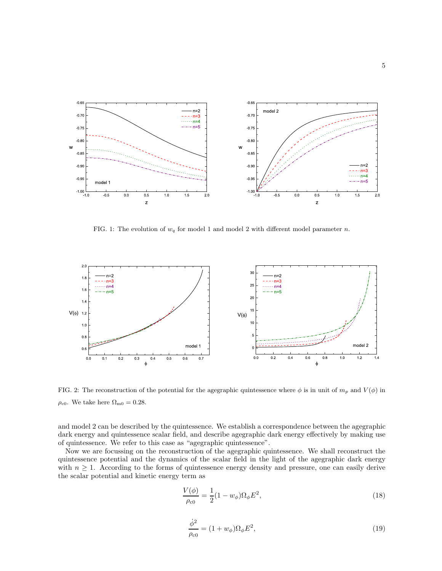

FIG. 1: The evolution of  $w_q$  for model 1 and model 2 with different model parameter n.



<span id="page-4-0"></span>FIG. 2: The reconstruction of the potential for the agegraphic quintessence where  $\phi$  is in unit of  $m_p$  and  $V(\phi)$  in  $\rho_{\rm c0}$ . We take here  $\Omega_{\rm m0} = 0.28$ .

and model 2 can be described by the quintessence. We establish a correspondence between the agegraphic dark energy and quintessence scalar field, and describe agegraphic dark energy effectively by making use of quintessence. We refer to this case as "agegraphic quintessence".

Now we are focussing on the reconstruction of the agegraphic quintessence. We shall reconstruct the quintessence potential and the dynamics of the scalar field in the light of the agegraphic dark energy with  $n \geq 1$ . According to the forms of quintessence energy density and pressure, one can easily derive the scalar potential and kinetic energy term as

$$
\frac{V(\phi)}{\rho_{c0}} = \frac{1}{2}(1 - w_{\phi})\Omega_{\phi}E^{2},
$$
\n(18)

$$
\frac{\dot{\phi}^2}{\rho_{\rm c0}} = (1 + w_{\phi})\Omega_{\phi}E^2,\tag{19}
$$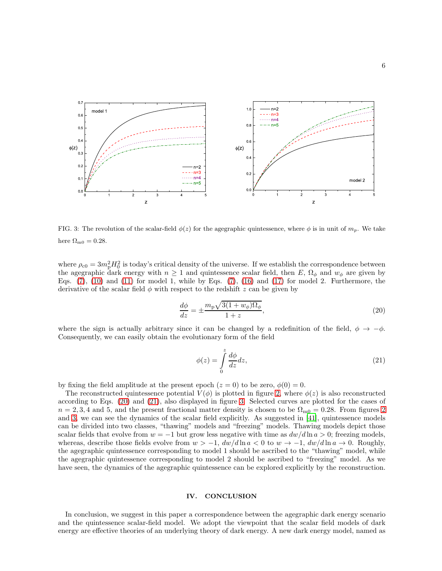

<span id="page-5-3"></span>FIG. 3: The revolution of the scalar-field  $\phi(z)$  for the agegraphic quintessence, where  $\phi$  is in unit of  $m_p$ . We take here  $\Omega_{\rm m0} = 0.28$ .

where  $\rho_{c0} = 3m_p^2 H_0^2$  is today's critical density of the universe. If we establish the correspondence between the agegraphic dark energy with  $n \geq 1$  and quintessence scalar field, then E,  $\Omega_{\phi}$  and  $w_{\phi}$  are given by Eqs.  $(7)$ ,  $(10)$  and  $(11)$  for model 1, while by Eqs.  $(7)$ ,  $(16)$  and  $(17)$  for model 2. Furthermore, the derivative of the scalar field  $\phi$  with respect to the redshift z can be given by

<span id="page-5-1"></span>
$$
\frac{d\phi}{dz} = \pm \frac{m_{\rm p}\sqrt{3(1+w_{\phi})\Omega_{\phi}}}{1+z},\tag{20}
$$

where the sign is actually arbitrary since it can be changed by a redefinition of the field,  $\phi \rightarrow -\phi$ . Consequently, we can easily obtain the evolutionary form of the field

<span id="page-5-2"></span>
$$
\phi(z) = \int_{0}^{z} \frac{d\phi}{dz} dz,
$$
\n(21)

by fixing the field amplitude at the present epoch  $(z = 0)$  to be zero,  $\phi(0) = 0$ .

The reconstructed quintessence potential  $V(\phi)$  is plotted in figure [2,](#page-4-0) where  $\phi(z)$  is also reconstructed according to Eqs. [\(20\)](#page-5-1) and [\(21\)](#page-5-2), also displayed in figure [3.](#page-5-3) Selected curves are plotted for the cases of  $n = 2, 3, 4$  $n = 2, 3, 4$  $n = 2, 3, 4$  and 5, and the present fractional matter density is chosen to be  $\Omega_{\text{m0}} = 0.28$ . From figures 2 and [3,](#page-5-3) we can see the dynamics of the scalar field explicitly. As suggested in [\[41\]](#page-8-7), quintessence models can be divided into two classes, "thawing" models and "freezing" models. Thawing models depict those scalar fields that evolve from  $w = -1$  but grow less negative with time as  $dw/d\ln a > 0$ ; freezing models, whereas, describe those fields evolve from  $w > -1$ ,  $dw/d\ln a < 0$  to  $w \to -1$ ,  $dw/d\ln a \to 0$ . Roughly, the agegraphic quintessence corresponding to model 1 should be ascribed to the "thawing" model, while the agegraphic quintessence corresponding to model 2 should be ascribed to "freezing" model. As we have seen, the dynamics of the agegraphic quintessence can be explored explicitly by the reconstruction.

## <span id="page-5-0"></span>IV. CONCLUSION

In conclusion, we suggest in this paper a correspondence between the agegraphic dark energy scenario and the quintessence scalar-field model. We adopt the viewpoint that the scalar field models of dark energy are effective theories of an underlying theory of dark energy. A new dark energy model, named as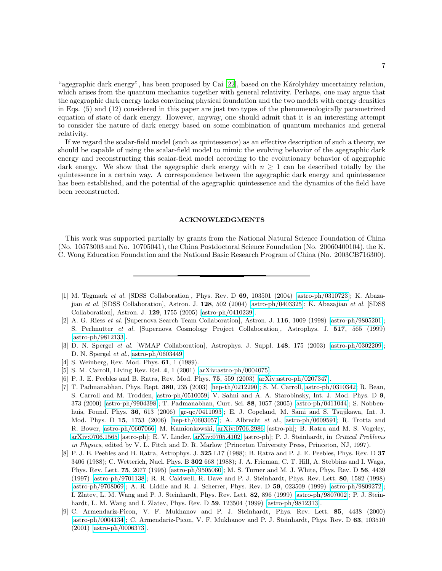"agegraphic dark energy", has been proposed by Cai [\[22](#page-7-12)], based on the Károlyházy uncertainty relation, which arises from the quantum mechanics together with general relativity. Perhaps, one may argue that the agegraphic dark energy lacks convincing physical foundation and the two models with energy densities in Eqs. (5) and (12) considered in this paper are just two types of the phenomenologically parametrized equation of state of dark energy. However, anyway, one should admit that it is an interesting attempt to consider the nature of dark energy based on some combination of quantum mechanics and general relativity.

If we regard the scalar-field model (such as quintessence) as an effective description of such a theory, we should be capable of using the scalar-field model to mimic the evolving behavior of the agegraphic dark energy and reconstructing this scalar-field model according to the evolutionary behavior of agegraphic dark energy. We show that the agegraphic dark energy with  $n \geq 1$  can be described totally by the quintessence in a certain way. A correspondence between the agegraphic dark energy and quintessence has been established, and the potential of the agegraphic quintessence and the dynamics of the field have been reconstructed.

## ACKNOWLEDGMENTS

This work was supported partially by grants from the National Natural Science Foundation of China (No. 10573003 and No. 10705041), the China Postdoctoral Science Foundation (No. 20060400104), the K. C. Wong Education Foundation and the National Basic Research Program of China (No. 2003CB716300).

- <span id="page-6-0"></span>[1] M. Tegmark et al. [SDSS Collaboration], Phys. Rev. D 69, 103501 (2004) [\[astro-ph/0310723\]](http://arxiv.org/abs/astro-ph/0310723); K. Abazajian et al. [SDSS Collaboration], Astron. J. 128, 502 (2004) [\[astro-ph/0403325\]](http://arxiv.org/abs/astro-ph/0403325); K. Abazajian et al. [SDSS Collaboration], Astron. J. 129, 1755 (2005) [\[astro-ph/0410239\]](http://arxiv.org/abs/astro-ph/0410239).
- <span id="page-6-1"></span>[2] A. G. Riess et al. [Supernova Search Team Collaboration], Astron. J. 116, 1009 (1998) [\[astro-ph/9805201\]](http://arxiv.org/abs/astro-ph/9805201); S. Perlmutter et al. [Supernova Cosmology Project Collaboration], Astrophys. J. 517, 565 (1999) [\[astro-ph/9812133\]](http://arxiv.org/abs/astro-ph/9812133).
- <span id="page-6-2"></span>[3] D. N. Spergel et al. [WMAP Collaboration], Astrophys. J. Suppl. 148, 175 (2003) [\[astro-ph/0302209\]](http://arxiv.org/abs/astro-ph/0302209); D. N. Spergel et al., [astro-ph/0603449.](http://arxiv.org/abs/astro-ph/0603449)
- <span id="page-6-3"></span>[4] S. Weinberg, Rev. Mod. Phys. **61**, 1 (1989).
- <span id="page-6-4"></span>[5] S. M. Carroll, Living Rev. Rel. 4, 1 (2001) [\[arXiv:astro-ph/0004075\]](http://arxiv.org/abs/astro-ph/0004075).
- <span id="page-6-5"></span>[6] P. J. E. Peebles and B. Ratra, Rev. Mod. Phys. 75, 559 (2003) [\[arXiv:astro-ph/0207347\]](http://arxiv.org/abs/astro-ph/0207347).
- <span id="page-6-6"></span>[7] T. Padmanabhan, Phys. Rept. 380, 235 (2003) [\[hep-th/0212290\]](http://arxiv.org/abs/hep-th/0212290); S. M. Carroll, [astro-ph/0310342;](http://arxiv.org/abs/astro-ph/0310342) R. Bean, S. Carroll and M. Trodden, [astro-ph/0510059;](http://arxiv.org/abs/astro-ph/0510059) V. Sahni and A. A. Starobinsky, Int. J. Mod. Phys. D 9, 373 (2000) [\[astro-ph/9904398\]](http://arxiv.org/abs/astro-ph/9904398); T. Padmanabhan, Curr. Sci. 88, 1057 (2005) [\[astro-ph/0411044\]](http://arxiv.org/abs/astro-ph/0411044); S. Nobbenhuis, Found. Phys. 36, 613 (2006) [\[gr-qc/0411093\]](http://arxiv.org/abs/gr-qc/0411093); E. J. Copeland, M. Sami and S. Tsujikawa, Int. J. Mod. Phys. D 15, 1753 (2006) [\[hep-th/0603057\]](http://arxiv.org/abs/hep-th/0603057); A. Albrecht et al., [astro-ph/0609591;](http://arxiv.org/abs/astro-ph/0609591) R. Trotta and R. Bower, [astro-ph/0607066;](http://arxiv.org/abs/astro-ph/0607066) M. Kamionkowski, [arXiv:0706.2986](http://arxiv.org/abs/0706.2986) [astro-ph]; B. Ratra and M. S. Vogeley, [arXiv:0706.1565](http://arxiv.org/abs/0706.1565) [astro-ph]; E. V. Linder, [arXiv:0705.4102](http://arxiv.org/abs/0705.4102) [astro-ph]; P. J. Steinhardt, in Critical Problems in Physics, edited by V. L. Fitch and D. R. Marlow (Princeton University Press, Princeton, NJ, 1997).
- <span id="page-6-7"></span>[8] P. J. E. Peebles and B. Ratra, Astrophys. J. 325 L17 (1988); B. Ratra and P. J. E. Peebles, Phys. Rev. D 37 3406 (1988); C. Wetterich, Nucl. Phys. B 302 668 (1988); J. A. Frieman, C. T. Hill, A. Stebbins and I. Waga, Phys. Rev. Lett. 75, 2077 (1995) [\[astro-ph/9505060\]](http://arxiv.org/abs/astro-ph/9505060); M. S. Turner and M. J. White, Phys. Rev. D 56, 4439 (1997) [\[astro-ph/9701138\]](http://arxiv.org/abs/astro-ph/9701138); R. R. Caldwell, R. Dave and P. J. Steinhardt, Phys. Rev. Lett. 80, 1582 (1998) [\[astro-ph/9708069\]](http://arxiv.org/abs/astro-ph/9708069); A. R. Liddle and R. J. Scherrer, Phys. Rev. D 59, 023509 (1999) [\[astro-ph/9809272\]](http://arxiv.org/abs/astro-ph/9809272); I. Zlatev, L. M. Wang and P. J. Steinhardt, Phys. Rev. Lett. 82, 896 (1999) [\[astro-ph/9807002\]](http://arxiv.org/abs/astro-ph/9807002); P. J. Steinhardt, L. M. Wang and I. Zlatev, Phys. Rev. D 59, 123504 (1999) [\[astro-ph/9812313\]](http://arxiv.org/abs/astro-ph/9812313).
- <span id="page-6-8"></span>[9] C. Armendariz-Picon, V. F. Mukhanov and P. J. Steinhardt, Phys. Rev. Lett. 85, 4438 (2000) [\[astro-ph/0004134\]](http://arxiv.org/abs/astro-ph/0004134); C. Armendariz-Picon, V. F. Mukhanov and P. J. Steinhardt, Phys. Rev. D 63, 103510 (2001) [\[astro-ph/0006373\]](http://arxiv.org/abs/astro-ph/0006373).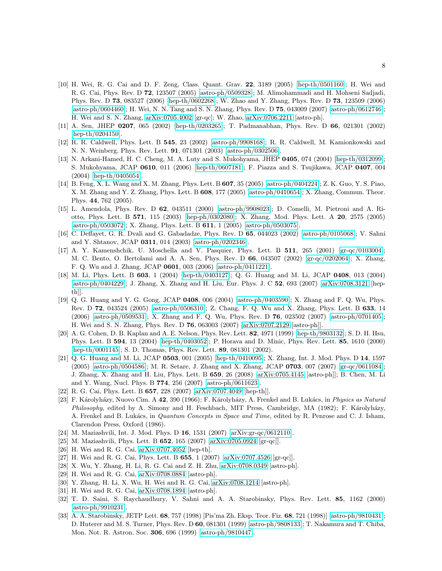- <span id="page-7-0"></span>[10] H. Wei, R. G. Cai and D. F. Zeng, Class. Quant. Grav. 22, 3189 (2005) [\[hep-th/0501160\]](http://arxiv.org/abs/hep-th/0501160); H. Wei and R. G. Cai, Phys. Rev. D 72, 123507 (2005) [\[astro-ph/0509328\]](http://arxiv.org/abs/astro-ph/0509328); M. Alimohammadi and H. Mohseni Sadjadi, Phys. Rev. D 73, 083527 (2006) [\[hep-th/0602268\]](http://arxiv.org/abs/hep-th/0602268); W. Zhao and Y. Zhang, Phys. Rev. D 73, 123509 (2006) [\[astro-ph/0604460\]](http://arxiv.org/abs/astro-ph/0604460); H. Wei, N. N. Tang and S. N. Zhang, Phys. Rev. D 75, 043009 (2007) [\[astro-ph/0612746\]](http://arxiv.org/abs/astro-ph/0612746); H. Wei and S. N. Zhang, [arXiv:0705.4002](http://arxiv.org/abs/0705.4002) [gr-qc]; W. Zhao, [arXiv:0706.2211](http://arxiv.org/abs/0706.2211) [astro-ph].
- <span id="page-7-1"></span>[11] A. Sen, JHEP 0207, 065 (2002) [\[hep-th/0203265\]](http://arxiv.org/abs/hep-th/0203265); T. Padmanabhan, Phys. Rev. D 66, 021301 (2002) [\[hep-th/0204150\]](http://arxiv.org/abs/hep-th/0204150).
- <span id="page-7-2"></span>[12] R. R. Caldwell, Phys. Lett. B 545, 23 (2002) [\[astro-ph/9908168\]](http://arxiv.org/abs/astro-ph/9908168); R. R. Caldwell, M. Kamionkowski and N. N. Weinberg, Phys. Rev. Lett. 91, 071301 (2003) [\[astro-ph/0302506\]](http://arxiv.org/abs/astro-ph/0302506).
- <span id="page-7-3"></span>[13] N. Arkani-Hamed, H. C. Cheng, M. A. Luty and S. Mukohyama, JHEP 0405, 074 (2004) [\[hep-th/0312099\]](http://arxiv.org/abs/hep-th/0312099); S. Mukohyama, JCAP 0610, 011 (2006) [\[hep-th/0607181\]](http://arxiv.org/abs/hep-th/0607181); F. Piazza and S. Tsujikawa, JCAP 0407, 004 (2004) [\[hep-th/0405054\]](http://arxiv.org/abs/hep-th/0405054).
- <span id="page-7-4"></span>[14] B. Feng, X. L. Wang and X. M. Zhang, Phys. Lett. B 607, 35 (2005) [\[astro-ph/0404224\]](http://arxiv.org/abs/astro-ph/0404224); Z. K. Guo, Y. S. Piao, X. M. Zhang and Y. Z. Zhang, Phys. Lett. B 608, 177 (2005) [\[astro-ph/0410654\]](http://arxiv.org/abs/astro-ph/0410654); X. Zhang, Commun. Theor. Phys. 44, 762 (2005).
- <span id="page-7-5"></span>[15] L. Amendola, Phys. Rev. D 62, 043511 (2000) [\[astro-ph/9908023\]](http://arxiv.org/abs/astro-ph/9908023); D. Comelli, M. Pietroni and A. Riotto, Phys. Lett. B 571, 115 (2003) [\[hep-ph/0302080\]](http://arxiv.org/abs/hep-ph/0302080); X. Zhang, Mod. Phys. Lett. A 20, 2575 (2005) [\[astro-ph/0503072\]](http://arxiv.org/abs/astro-ph/0503072); X. Zhang, Phys. Lett. B 611, 1 (2005) [\[astro-ph/0503075\]](http://arxiv.org/abs/astro-ph/0503075).
- <span id="page-7-6"></span>[16] C. Deffayet, G. R. Dvali and G. Gabadadze, Phys. Rev. D 65, 044023 (2002) [\[astro-ph/0105068\]](http://arxiv.org/abs/astro-ph/0105068); V. Sahni and Y. Shtanov, JCAP 0311, 014 (2003) [\[astro-ph/0202346\]](http://arxiv.org/abs/astro-ph/0202346).
- <span id="page-7-7"></span>[17] A. Y. Kamenshchik, U. Moschella and V. Pasquier, Phys. Lett. B 511, 265 (2001) [\[gr-qc/0103004\]](http://arxiv.org/abs/gr-qc/0103004); M. C. Bento, O. Bertolami and A. A. Sen, Phys. Rev. D 66, 043507 (2002) [\[gr-qc/0202064\]](http://arxiv.org/abs/gr-qc/0202064); X. Zhang, F. Q. Wu and J. Zhang, JCAP 0601, 003 (2006) [\[astro-ph/0411221\]](http://arxiv.org/abs/astro-ph/0411221).
- <span id="page-7-8"></span>[18] M. Li, Phys. Lett. B 603, 1 (2004) [\[hep-th/0403127\]](http://arxiv.org/abs/hep-th/0403127); Q. G. Huang and M. Li, JCAP 0408, 013 (2004) [\[astro-ph/0404229\]](http://arxiv.org/abs/astro-ph/0404229); J. Zhang, X. Zhang and H. Liu, Eur. Phys. J. C 52, 693 (2007) [\[arXiv:0708.3121](http://arxiv.org/abs/0708.3121) [hepth]].
- <span id="page-7-9"></span>[19] Q. G. Huang and Y. G. Gong, JCAP 0408, 006 (2004) [\[astro-ph/0403590\]](http://arxiv.org/abs/astro-ph/0403590); X. Zhang and F. Q. Wu, Phys. Rev. D 72, 043524 (2005) [\[astro-ph/0506310\]](http://arxiv.org/abs/astro-ph/0506310); Z. Chang, F. Q. Wu and X. Zhang, Phys. Lett. B 633, 14 (2006) [\[astro-ph/0509531\]](http://arxiv.org/abs/astro-ph/0509531); X. Zhang and F. Q. Wu, Phys. Rev. D 76, 023502 (2007) [\[astro-ph/0701405\]](http://arxiv.org/abs/astro-ph/0701405); H. Wei and S. N. Zhang, Phys. Rev. D 76, 063003 (2007) [\[arXiv:0707.2129](http://arxiv.org/abs/0707.2129) [astro-ph]].
- <span id="page-7-10"></span>[20] A. G. Cohen, D. B. Kaplan and A. E. Nelson, Phys. Rev. Lett. 82, 4971 (1999) [\[hep-th/9803132\]](http://arxiv.org/abs/hep-th/9803132); S. D. H. Hsu, Phys. Lett. B 594, 13 (2004) [\[hep-th/0403052\]](http://arxiv.org/abs/hep-th/0403052); P. Horava and D. Minic, Phys. Rev. Lett. 85, 1610 (2000) [\[hep-th/0001145\]](http://arxiv.org/abs/hep-th/0001145); S. D. Thomas, Phys. Rev. Lett. 89, 081301 (2002).
- <span id="page-7-11"></span>[21] Q. G. Huang and M. Li, JCAP 0503, 001 (2005) [\[hep-th/0410095\]](http://arxiv.org/abs/hep-th/0410095); X. Zhang, Int. J. Mod. Phys. D 14, 1597 (2005) [\[astro-ph/0504586\]](http://arxiv.org/abs/astro-ph/0504586); M. R. Setare, J. Zhang and X. Zhang, JCAP 0703, 007 (2007) [\[gr-qc/0611084\]](http://arxiv.org/abs/gr-qc/0611084); J. Zhang, X. Zhang and H. Liu, Phys. Lett. B 659, 26 (2008) [\[arXiv:0705.4145](http://arxiv.org/abs/0705.4145) [astro-ph]]; B. Chen, M. Li and Y. Wang, Nucl. Phys. B 774, 256 (2007) [\[astro-ph/0611623\]](http://arxiv.org/abs/astro-ph/0611623).
- <span id="page-7-12"></span>[22] R. G. Cai, Phys. Lett. B 657, 228 (2007) [\[arXiv:0707.4049](http://arxiv.org/abs/0707.4049) [hep-th]].
- <span id="page-7-13"></span>[23] F. Károlyházy, Nuovo Cim. A 42, 390 (1966); F. Károlyházy, A. Frenkel and B. Lukács, in Physics as Natural Philosophy, edited by A. Simony and H. Feschbach, MIT Press, Cambridge, MA (1982); F. Károlyházy, A. Frenkel and B. Lukács, in *Quantum Concepts in Space and Time*, edited by R. Penrose and C. J. Isham, Clarendon Press, Oxford (1986).
- <span id="page-7-14"></span>[24] M. Maziashvili, Int. J. Mod. Phys. D 16, 1531 (2007) [\[arXiv:gr-qc/0612110\]](http://arxiv.org/abs/gr-qc/0612110).
- <span id="page-7-15"></span>[25] M. Maziashvili, Phys. Lett. B 652, 165 (2007) [\[arXiv:0705.0924](http://arxiv.org/abs/0705.0924) [gr-qc]].
- <span id="page-7-16"></span>[26] H. Wei and R. G. Cai, [arXiv:0707.4052](http://arxiv.org/abs/0707.4052) [hep-th].
- <span id="page-7-17"></span>[27] H. Wei and R. G. Cai, Phys. Lett. B 655, 1 (2007) [\[arXiv:0707.4526](http://arxiv.org/abs/0707.4526) [gr-qc]].
- <span id="page-7-18"></span>[28] X. Wu, Y. Zhang, H. Li, R. G. Cai and Z. H. Zhu, [arXiv:0708.0349](http://arxiv.org/abs/0708.0349) [astro-ph].
- <span id="page-7-19"></span>[29] H. Wei and R. G. Cai, [arXiv:0708.0884](http://arxiv.org/abs/0708.0884) [astro-ph].
- <span id="page-7-20"></span>[30] Y. Zhang, H. Li, X. Wu, H. Wei and R. G. Cai, [arXiv:0708.1214](http://arxiv.org/abs/0708.1214) [astro-ph].
- <span id="page-7-21"></span>[31] H. Wei and R. G. Cai, [arXiv:0708.1894](http://arxiv.org/abs/0708.1894) [astro-ph].
- <span id="page-7-22"></span>[32] T. D. Saini, S. Raychaudhury, V. Sahni and A. A. Starobinsky, Phys. Rev. Lett. 85, 1162 (2000) [\[astro-ph/9910231\]](http://arxiv.org/abs/astro-ph/9910231).
- <span id="page-7-23"></span>[33] A. A. Starobinsky, JETP Lett. 68, 757 (1998) [Pis'ma Zh. Eksp. Teor. Fiz. 68, 721 (1998)] [\[astro-ph/9810431\]](http://arxiv.org/abs/astro-ph/9810431); D. Huterer and M. S. Turner, Phys. Rev. D 60, 081301 (1999) [\[astro-ph/9808133\]](http://arxiv.org/abs/astro-ph/9808133); T. Nakamura and T. Chiba, Mon. Not. R. Astron. Soc. 306, 696 (1999) [\[astro-ph/9810447\]](http://arxiv.org/abs/astro-ph/9810447).